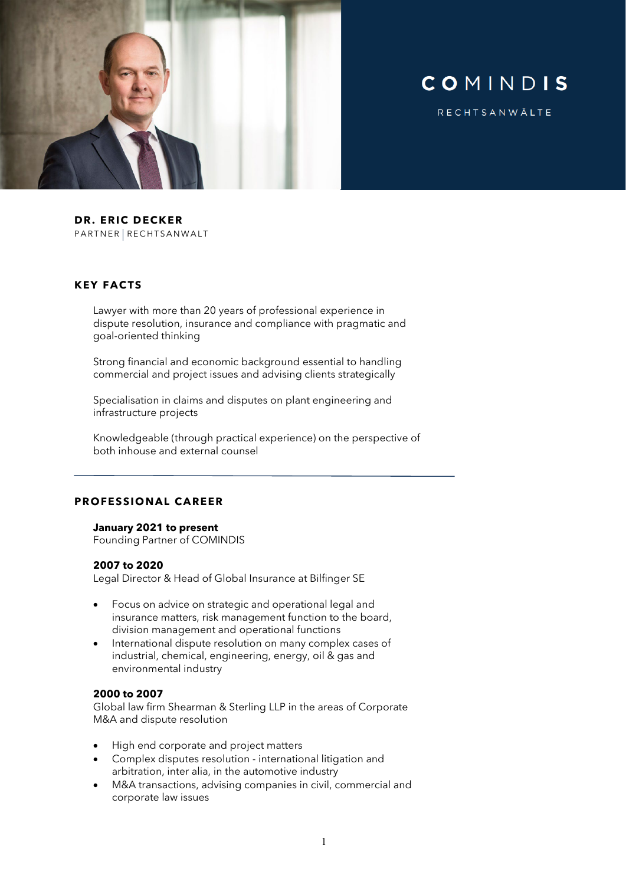

COMINDIS

**RECHTSANWÄLTE** 

**DR. ERIC DECKER** PARTNER | RECHTSANWALT

# **KEY FACTS**

Lawyer with more than 20 years of professional experience in dispute resolution, insurance and compliance with pragmatic and goal-oriented thinking

Strong financial and economic background essential to handling commercial and project issues and advising clients strategically

Specialisation in claims and disputes on plant engineering and infrastructure projects

Knowledgeable (through practical experience) on the perspective of both inhouse and external counsel

# **PROFESSIONAL CAREER**

### **January 2021 to present**

Founding Partner of COMINDIS

#### **2007 to 2020**

Legal Director & Head of Global Insurance at Bilfinger SE

- Focus on advice on strategic and operational legal and insurance matters, risk management function to the board, division management and operational functions
- International dispute resolution on many complex cases of industrial, chemical, engineering, energy, oil & gas and environmental industry

### **2000 to 2007**

Global law firm Shearman & Sterling LLP in the areas of Corporate M&A and dispute resolution

- High end corporate and project matters
- Complex disputes resolution international litigation and arbitration, inter alia, in the automotive industry
- M&A transactions, advising companies in civil, commercial and corporate law issues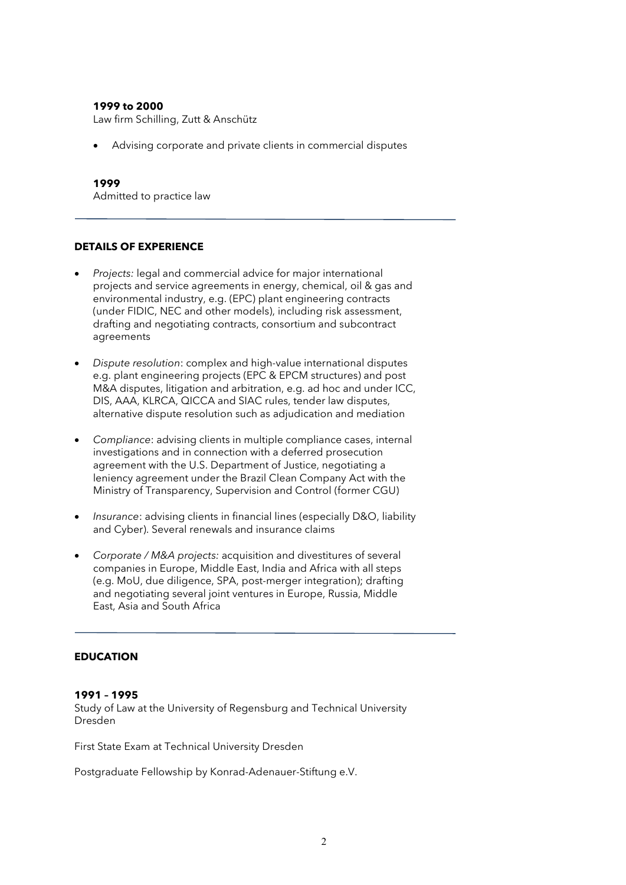## **1999 to 2000**

Law firm Schilling, Zutt & Anschütz

• Advising corporate and private clients in commercial disputes

## **1999**

Admitted to practice law

## **DETAILS OF EXPERIENCE**

- *Projects:* legal and commercial advice for major international projects and service agreements in energy, chemical, oil & gas and environmental industry, e.g. (EPC) plant engineering contracts (under FIDIC, NEC and other models), including risk assessment, drafting and negotiating contracts, consortium and subcontract agreements
- *Dispute resolution*: complex and high-value international disputes e.g. plant engineering projects (EPC & EPCM structures) and post M&A disputes, litigation and arbitration, e.g. ad hoc and under ICC, DIS, AAA, KLRCA, QICCA and SIAC rules, tender law disputes, alternative dispute resolution such as adjudication and mediation
- *Compliance*: advising clients in multiple compliance cases, internal investigations and in connection with a deferred prosecution agreement with the U.S. Department of Justice, negotiating a leniency agreement under the Brazil Clean Company Act with the Ministry of Transparency, Supervision and Control (former CGU)
- *Insurance*: advising clients in financial lines (especially D&O, liability and Cyber). Several renewals and insurance claims
- *Corporate / M&A projects:* acquisition and divestitures of several companies in Europe, Middle East, India and Africa with all steps (e.g. MoU, due diligence, SPA, post-merger integration); drafting and negotiating several joint ventures in Europe, Russia, Middle East, Asia and South Africa

## **EDUCATION**

# **1991 – 1995**

Study of Law at the University of Regensburg and Technical University Dresden

First State Exam at Technical University Dresden

Postgraduate Fellowship by Konrad-Adenauer-Stiftung e.V.